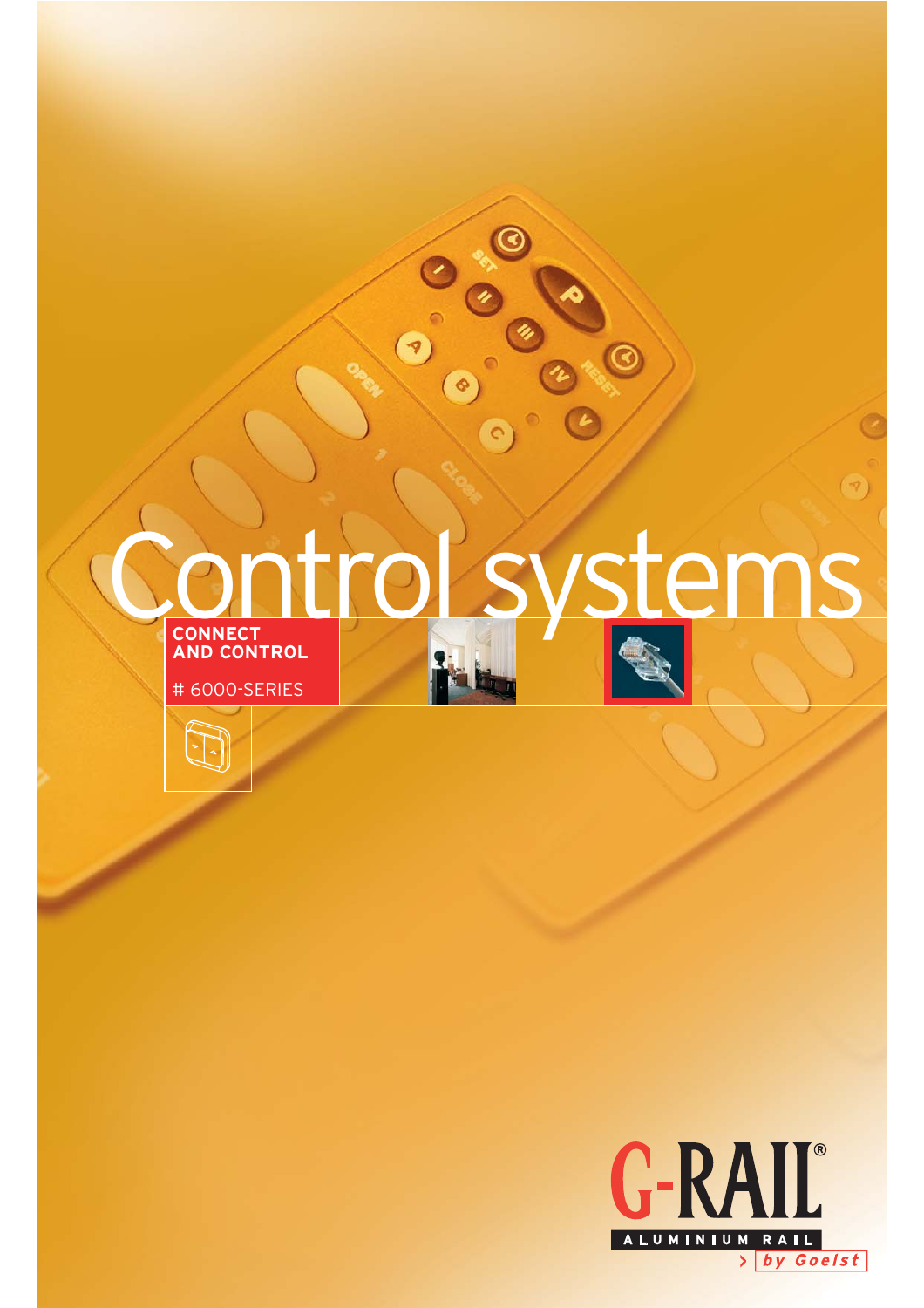

 $\circ$ 

 $\overline{G}$ 

G

 $\left( \mathcal{P}\right)$ 



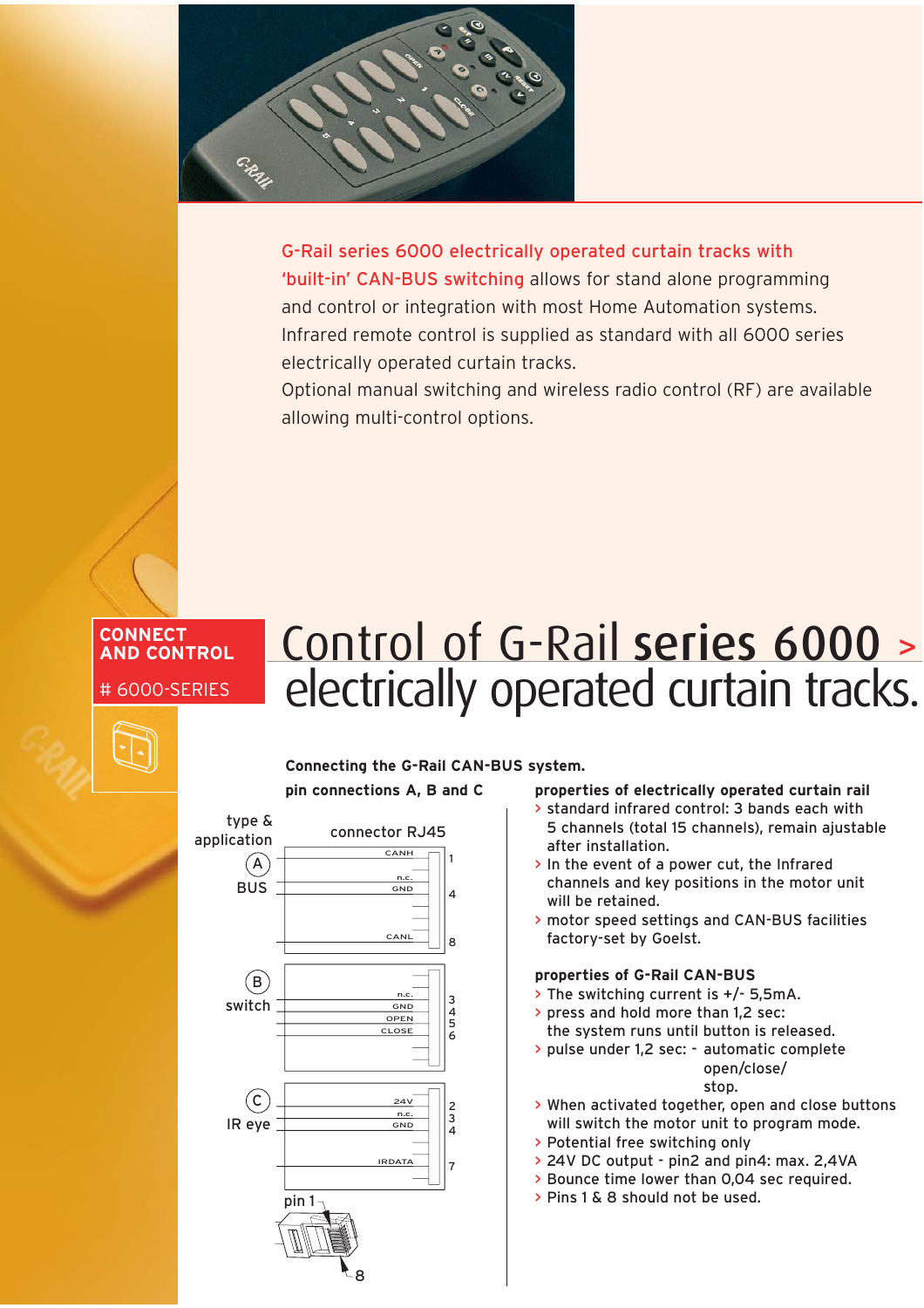

G-Rail series 6000 electrically operated curtain tracks with 'built-in' CAN-BUS switching allows for stand alone programming and control or integration with most Home Automation systems. Infrared remote control is supplied as standard with all 6000 series electrically operated curtain tracks.

Optional manual switching and wireless radio control (RF) are available allowing multi-control options.

# **CONNECT AND CONTROL** # 6000-SERIES

# Control of G-Rail series 6000 <sup>&</sup>gt; electrically operated curtain tracks.

# **Connecting the G-Rail CAN-BUS system. pin connections A, B and C**



# **properties of electrically operated curtain rail**

- > standard infrared control: 3 bands each with 5 channels (total 15 channels), remain ajustable after installation.
- > In the event of a power cut, the Infrared channels and key positions in the motor unit will be retained.
- > motor speed settings and CAN-BUS facilities factory-set by Goelst.

## **properties of G-Rail CAN-BUS**

- > The switching current is +/- 5,5mA.
- > press and hold more than 1,2 sec: the system runs until button is released.
- > pulse under 1,2 sec: automatic complete open/close/

# stop.

- > When activated together, open and close buttons will switch the motor unit to program mode.
- > Potential free switching only
- > 24V DC output pin2 and pin4: max. 2,4VA
- > Bounce time lower than 0,04 sec required.
- > Pins 1 & 8 should not be used.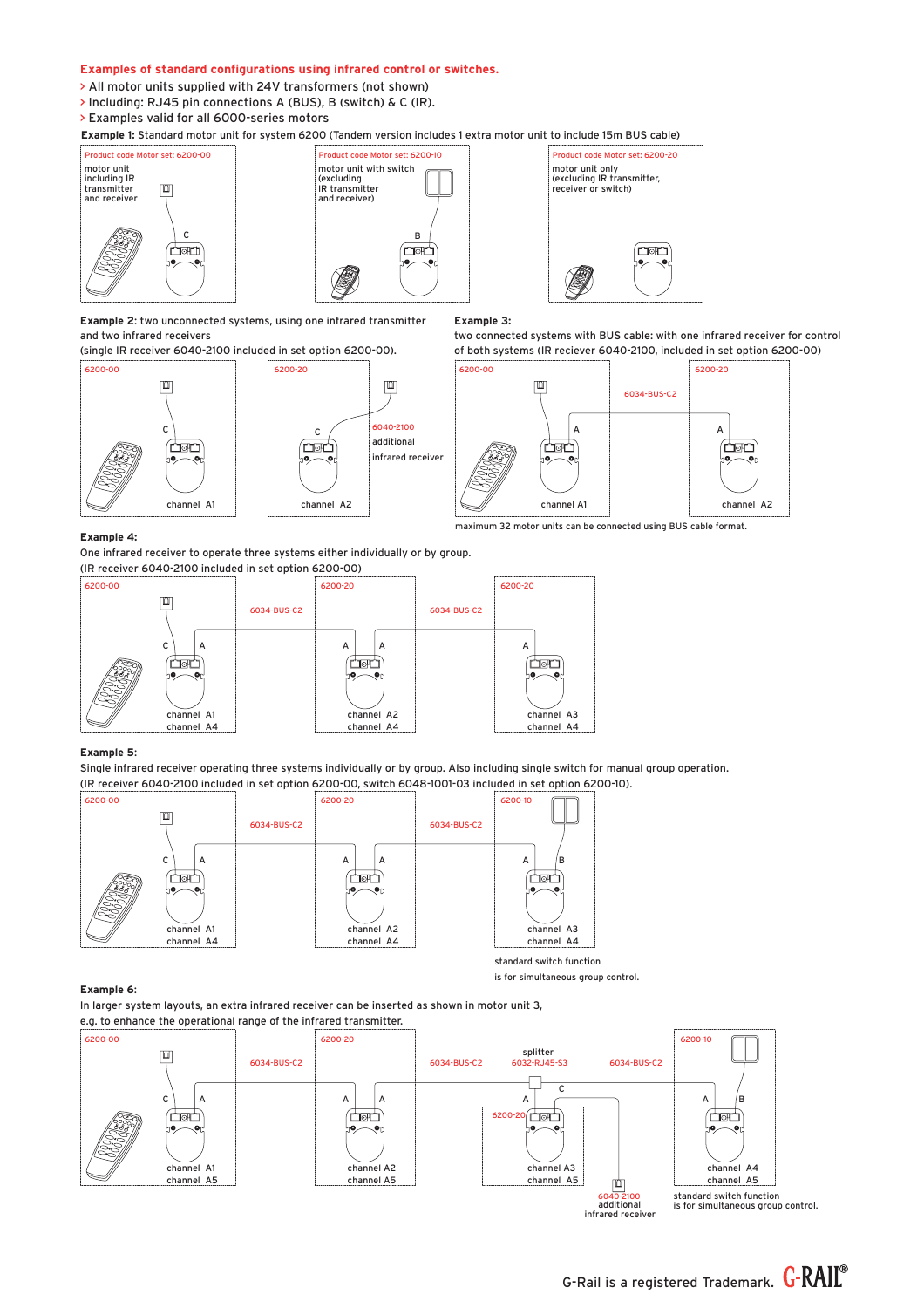### **Examples of standard configurations using infrared control or switches.**

- > All motor units supplied with 24V transformers (not shown)
- > Including: RJ45 pin connections A (BUS), B (switch) & C (IR).
- > Examples valid for all 6000-series motors

**Example 1:** Standard motor unit for system 6200 (Tandem version includes 1 extra motor unit to include 15m BUS cable)







**Example 2**: two unconnected systems, using one infrared transmitter and two infrared receivers

(single IR receiver 6040-2100 included in set option 6200-00).





# **Example 3:**

two connected systems with BUS cable: with one infrared receiver for control of both systems (IR reciever 6040-2100, included in set option 6200-00)



maximum 32 motor units can be connected using BUS cable format.

#### **Example 4:**

One infrared receiver to operate three systems either individually or by group. (IR receiver 6040-2100 included in set option 6200-00)



### **Example 5**:

Single infrared receiver operating three systems individually or by group. Also including single switch for manual group operation. (IR receiver 6040-2100 included in set option 6200-00, switch 6048-1001-03 included in set option 6200-10).



standard switch function is for simultaneous group control.

### **Example 6**:

In larger system layouts, an extra infrared receiver can be inserted as shown in motor unit 3, e.g. to enhance the operational range of the infrared transmitter.



6040-2100

 $\frac{6040-2100}{6040-2100}$  standard switch function<br>additional is for simultaneous group control.<br>infrared receiver